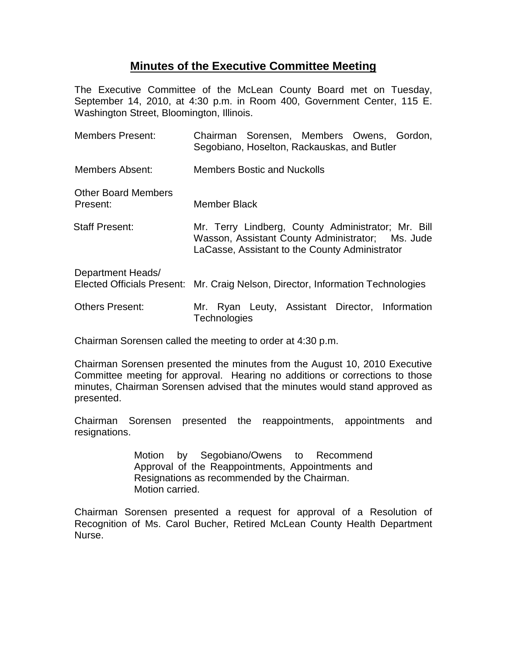## **Minutes of the Executive Committee Meeting**

The Executive Committee of the McLean County Board met on Tuesday, September 14, 2010, at 4:30 p.m. in Room 400, Government Center, 115 E. Washington Street, Bloomington, Illinois.

| <b>Members Present:</b>                | Chairman Sorensen, Members Owens, Gordon,<br>Segobiano, Hoselton, Rackauskas, and Butler                                                                 |
|----------------------------------------|----------------------------------------------------------------------------------------------------------------------------------------------------------|
| Members Absent:                        | <b>Members Bostic and Nuckolls</b>                                                                                                                       |
| <b>Other Board Members</b><br>Present: | <b>Member Black</b>                                                                                                                                      |
| <b>Staff Present:</b>                  | Mr. Terry Lindberg, County Administrator; Mr. Bill<br>Wasson, Assistant County Administrator; Ms. Jude<br>LaCasse, Assistant to the County Administrator |
| Department Heads/                      | Elected Officials Present: Mr. Craig Nelson, Director, Information Technologies                                                                          |
| <b>Others Present:</b>                 | Ryan Leuty, Assistant Director, Information<br>Mr.<br>Technologies                                                                                       |

Chairman Sorensen called the meeting to order at 4:30 p.m.

Chairman Sorensen presented the minutes from the August 10, 2010 Executive Committee meeting for approval. Hearing no additions or corrections to those minutes, Chairman Sorensen advised that the minutes would stand approved as presented.

Chairman Sorensen presented the reappointments, appointments and resignations.

> Motion by Segobiano/Owens to Recommend Approval of the Reappointments, Appointments and Resignations as recommended by the Chairman. Motion carried.

Chairman Sorensen presented a request for approval of a Resolution of Recognition of Ms. Carol Bucher, Retired McLean County Health Department Nurse.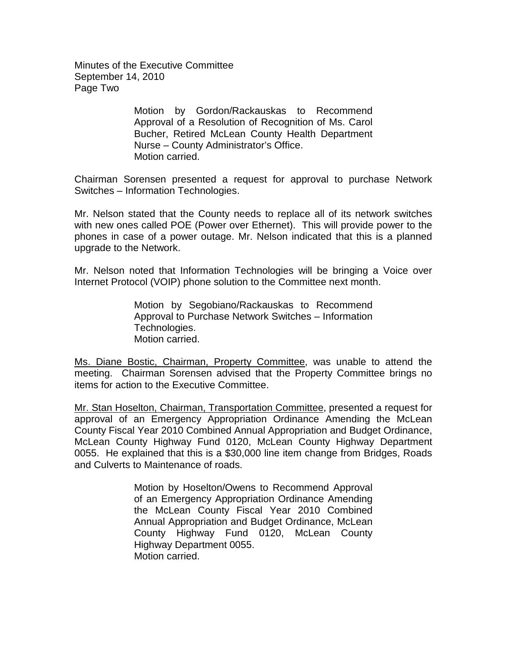Minutes of the Executive Committee September 14, 2010 Page Two

> Motion by Gordon/Rackauskas to Recommend Approval of a Resolution of Recognition of Ms. Carol Bucher, Retired McLean County Health Department Nurse – County Administrator's Office. Motion carried.

Chairman Sorensen presented a request for approval to purchase Network Switches – Information Technologies.

Mr. Nelson stated that the County needs to replace all of its network switches with new ones called POE (Power over Ethernet). This will provide power to the phones in case of a power outage. Mr. Nelson indicated that this is a planned upgrade to the Network.

Mr. Nelson noted that Information Technologies will be bringing a Voice over Internet Protocol (VOIP) phone solution to the Committee next month.

> Motion by Segobiano/Rackauskas to Recommend Approval to Purchase Network Switches – Information Technologies. Motion carried.

Ms. Diane Bostic, Chairman, Property Committee, was unable to attend the meeting. Chairman Sorensen advised that the Property Committee brings no items for action to the Executive Committee.

Mr. Stan Hoselton, Chairman, Transportation Committee, presented a request for approval of an Emergency Appropriation Ordinance Amending the McLean County Fiscal Year 2010 Combined Annual Appropriation and Budget Ordinance, McLean County Highway Fund 0120, McLean County Highway Department 0055. He explained that this is a \$30,000 line item change from Bridges, Roads and Culverts to Maintenance of roads.

> Motion by Hoselton/Owens to Recommend Approval of an Emergency Appropriation Ordinance Amending the McLean County Fiscal Year 2010 Combined Annual Appropriation and Budget Ordinance, McLean County Highway Fund 0120, McLean County Highway Department 0055. Motion carried.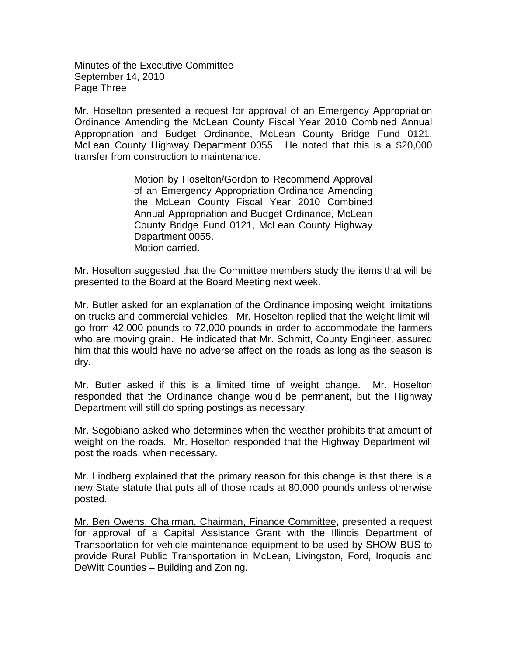Minutes of the Executive Committee September 14, 2010 Page Three

Mr. Hoselton presented a request for approval of an Emergency Appropriation Ordinance Amending the McLean County Fiscal Year 2010 Combined Annual Appropriation and Budget Ordinance, McLean County Bridge Fund 0121, McLean County Highway Department 0055. He noted that this is a \$20,000 transfer from construction to maintenance.

> Motion by Hoselton/Gordon to Recommend Approval of an Emergency Appropriation Ordinance Amending the McLean County Fiscal Year 2010 Combined Annual Appropriation and Budget Ordinance, McLean County Bridge Fund 0121, McLean County Highway Department 0055. Motion carried.

Mr. Hoselton suggested that the Committee members study the items that will be presented to the Board at the Board Meeting next week.

Mr. Butler asked for an explanation of the Ordinance imposing weight limitations on trucks and commercial vehicles. Mr. Hoselton replied that the weight limit will go from 42,000 pounds to 72,000 pounds in order to accommodate the farmers who are moving grain. He indicated that Mr. Schmitt, County Engineer, assured him that this would have no adverse affect on the roads as long as the season is dry.

Mr. Butler asked if this is a limited time of weight change. Mr. Hoselton responded that the Ordinance change would be permanent, but the Highway Department will still do spring postings as necessary.

Mr. Segobiano asked who determines when the weather prohibits that amount of weight on the roads. Mr. Hoselton responded that the Highway Department will post the roads, when necessary.

Mr. Lindberg explained that the primary reason for this change is that there is a new State statute that puts all of those roads at 80,000 pounds unless otherwise posted.

Mr. Ben Owens, Chairman, Chairman, Finance Committee**,** presented a request for approval of a Capital Assistance Grant with the Illinois Department of Transportation for vehicle maintenance equipment to be used by SHOW BUS to provide Rural Public Transportation in McLean, Livingston, Ford, Iroquois and DeWitt Counties – Building and Zoning.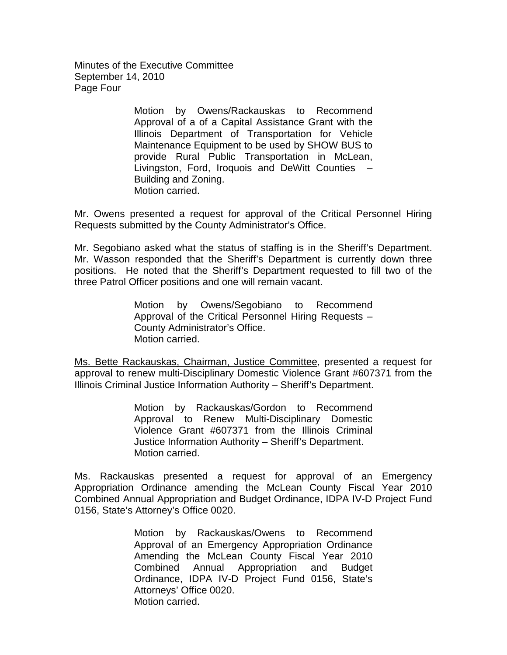Minutes of the Executive Committee September 14, 2010 Page Four

> Motion by Owens/Rackauskas to Recommend Approval of a of a Capital Assistance Grant with the Illinois Department of Transportation for Vehicle Maintenance Equipment to be used by SHOW BUS to provide Rural Public Transportation in McLean, Livingston, Ford, Iroquois and DeWitt Counties – Building and Zoning. Motion carried.

Mr. Owens presented a request for approval of the Critical Personnel Hiring Requests submitted by the County Administrator's Office.

Mr. Segobiano asked what the status of staffing is in the Sheriff's Department. Mr. Wasson responded that the Sheriff's Department is currently down three positions. He noted that the Sheriff's Department requested to fill two of the three Patrol Officer positions and one will remain vacant.

> Motion by Owens/Segobiano to Recommend Approval of the Critical Personnel Hiring Requests – County Administrator's Office. Motion carried.

Ms. Bette Rackauskas, Chairman, Justice Committee, presented a request for approval to renew multi-Disciplinary Domestic Violence Grant #607371 from the Illinois Criminal Justice Information Authority – Sheriff's Department.

> Motion by Rackauskas/Gordon to Recommend Approval to Renew Multi-Disciplinary Domestic Violence Grant #607371 from the Illinois Criminal Justice Information Authority – Sheriff's Department. Motion carried.

Ms. Rackauskas presented a request for approval of an Emergency Appropriation Ordinance amending the McLean County Fiscal Year 2010 Combined Annual Appropriation and Budget Ordinance, IDPA IV-D Project Fund 0156, State's Attorney's Office 0020.

> Motion by Rackauskas/Owens to Recommend Approval of an Emergency Appropriation Ordinance Amending the McLean County Fiscal Year 2010 Combined Annual Appropriation and Budget Ordinance, IDPA IV-D Project Fund 0156, State's Attorneys' Office 0020. Motion carried.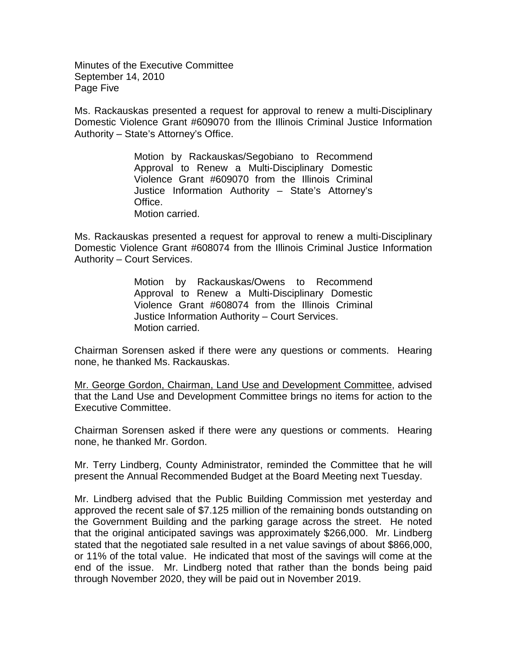Minutes of the Executive Committee September 14, 2010 Page Five

Ms. Rackauskas presented a request for approval to renew a multi-Disciplinary Domestic Violence Grant #609070 from the Illinois Criminal Justice Information Authority – State's Attorney's Office.

> Motion by Rackauskas/Segobiano to Recommend Approval to Renew a Multi-Disciplinary Domestic Violence Grant #609070 from the Illinois Criminal Justice Information Authority – State's Attorney's Office. Motion carried.

Ms. Rackauskas presented a request for approval to renew a multi-Disciplinary Domestic Violence Grant #608074 from the Illinois Criminal Justice Information Authority – Court Services.

> Motion by Rackauskas/Owens to Recommend Approval to Renew a Multi-Disciplinary Domestic Violence Grant #608074 from the Illinois Criminal Justice Information Authority – Court Services. Motion carried.

Chairman Sorensen asked if there were any questions or comments. Hearing none, he thanked Ms. Rackauskas.

Mr. George Gordon, Chairman, Land Use and Development Committee, advised that the Land Use and Development Committee brings no items for action to the Executive Committee.

Chairman Sorensen asked if there were any questions or comments. Hearing none, he thanked Mr. Gordon.

Mr. Terry Lindberg, County Administrator, reminded the Committee that he will present the Annual Recommended Budget at the Board Meeting next Tuesday.

Mr. Lindberg advised that the Public Building Commission met yesterday and approved the recent sale of \$7.125 million of the remaining bonds outstanding on the Government Building and the parking garage across the street. He noted that the original anticipated savings was approximately \$266,000. Mr. Lindberg stated that the negotiated sale resulted in a net value savings of about \$866,000, or 11% of the total value. He indicated that most of the savings will come at the end of the issue. Mr. Lindberg noted that rather than the bonds being paid through November 2020, they will be paid out in November 2019.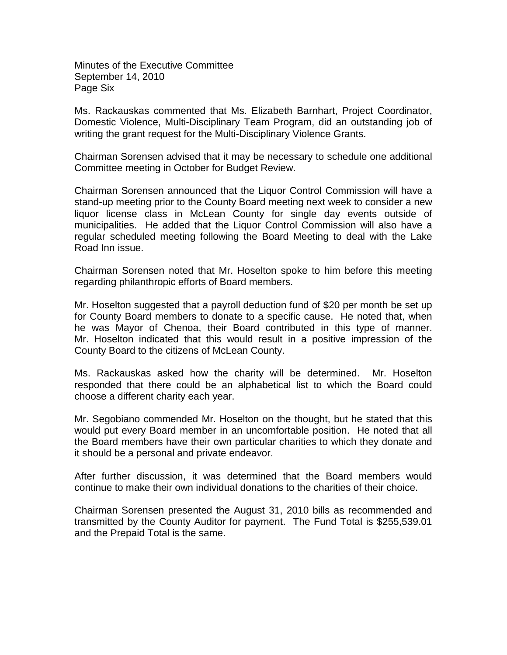Minutes of the Executive Committee September 14, 2010 Page Six

Ms. Rackauskas commented that Ms. Elizabeth Barnhart, Project Coordinator, Domestic Violence, Multi-Disciplinary Team Program, did an outstanding job of writing the grant request for the Multi-Disciplinary Violence Grants.

Chairman Sorensen advised that it may be necessary to schedule one additional Committee meeting in October for Budget Review.

Chairman Sorensen announced that the Liquor Control Commission will have a stand-up meeting prior to the County Board meeting next week to consider a new liquor license class in McLean County for single day events outside of municipalities. He added that the Liquor Control Commission will also have a regular scheduled meeting following the Board Meeting to deal with the Lake Road Inn issue.

Chairman Sorensen noted that Mr. Hoselton spoke to him before this meeting regarding philanthropic efforts of Board members.

Mr. Hoselton suggested that a payroll deduction fund of \$20 per month be set up for County Board members to donate to a specific cause. He noted that, when he was Mayor of Chenoa, their Board contributed in this type of manner. Mr. Hoselton indicated that this would result in a positive impression of the County Board to the citizens of McLean County.

Ms. Rackauskas asked how the charity will be determined. Mr. Hoselton responded that there could be an alphabetical list to which the Board could choose a different charity each year.

Mr. Segobiano commended Mr. Hoselton on the thought, but he stated that this would put every Board member in an uncomfortable position. He noted that all the Board members have their own particular charities to which they donate and it should be a personal and private endeavor.

After further discussion, it was determined that the Board members would continue to make their own individual donations to the charities of their choice.

Chairman Sorensen presented the August 31, 2010 bills as recommended and transmitted by the County Auditor for payment. The Fund Total is \$255,539.01 and the Prepaid Total is the same.